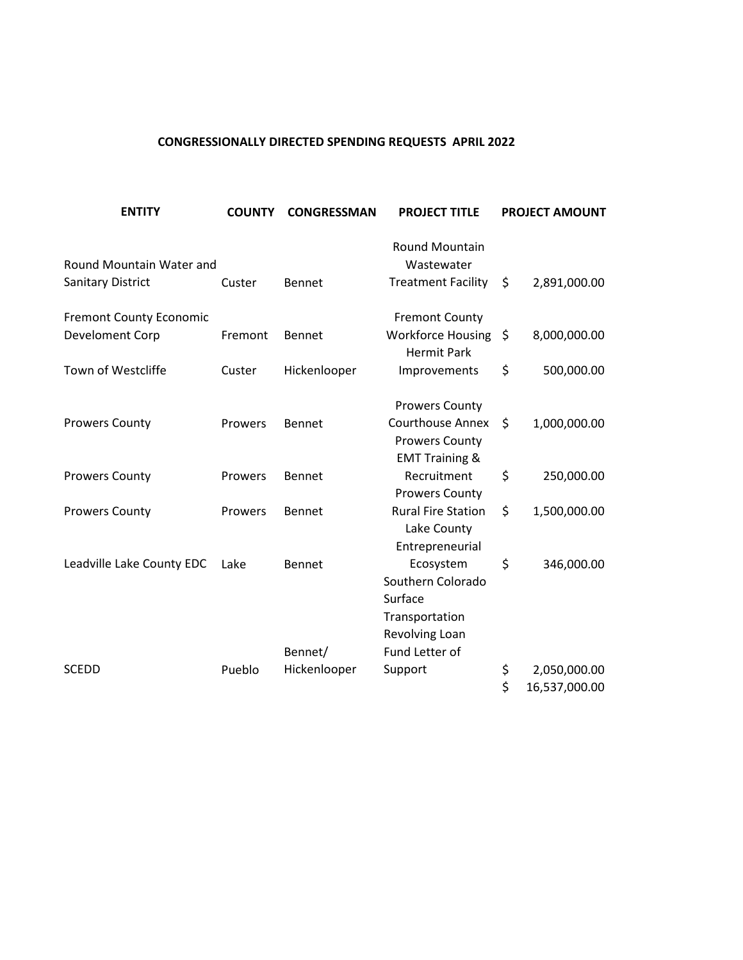### **CONGRESSIONALLY DIRECTED SPENDING REQUESTS APRIL 2022**

| <b>ENTITY</b>                  | <b>COUNTY</b> | <b>CONGRESSMAN</b> | <b>PROJECT TITLE</b>                                                          |     | <b>PROJECT AMOUNT</b> |
|--------------------------------|---------------|--------------------|-------------------------------------------------------------------------------|-----|-----------------------|
| Round Mountain Water and       |               |                    | <b>Round Mountain</b><br>Wastewater                                           |     |                       |
| Sanitary District              | Custer        | Bennet             | <b>Treatment Facility</b>                                                     | \$. | 2,891,000.00          |
| <b>Fremont County Economic</b> |               |                    | <b>Fremont County</b>                                                         |     |                       |
| Develoment Corp                | Fremont       | Bennet             | <b>Workforce Housing</b><br><b>Hermit Park</b>                                | \$  | 8,000,000.00          |
| Town of Westcliffe             | Custer        | Hickenlooper       | Improvements                                                                  | \$  | 500,000.00            |
|                                |               |                    | <b>Prowers County</b>                                                         |     |                       |
| <b>Prowers County</b>          | Prowers       | Bennet             | <b>Courthouse Annex</b><br><b>Prowers County</b><br><b>EMT Training &amp;</b> | \$  | 1,000,000.00          |
| <b>Prowers County</b>          | Prowers       | Bennet             | Recruitment<br><b>Prowers County</b>                                          | \$  | 250,000.00            |
| <b>Prowers County</b>          | Prowers       | Bennet             | <b>Rural Fire Station</b><br>Lake County<br>Entrepreneurial                   | \$  | 1,500,000.00          |
| Leadville Lake County EDC      | Lake          | Bennet             | Ecosystem<br>Southern Colorado<br>Surface<br>Transportation<br>Revolving Loan | \$  | 346,000.00            |
|                                |               | Bennet/            | Fund Letter of                                                                |     |                       |
| SCEDD                          | Pueblo        | Hickenlooper       | Support                                                                       | \$  | 2,050,000.00          |
|                                |               |                    |                                                                               | \$  | 16,537,000.00         |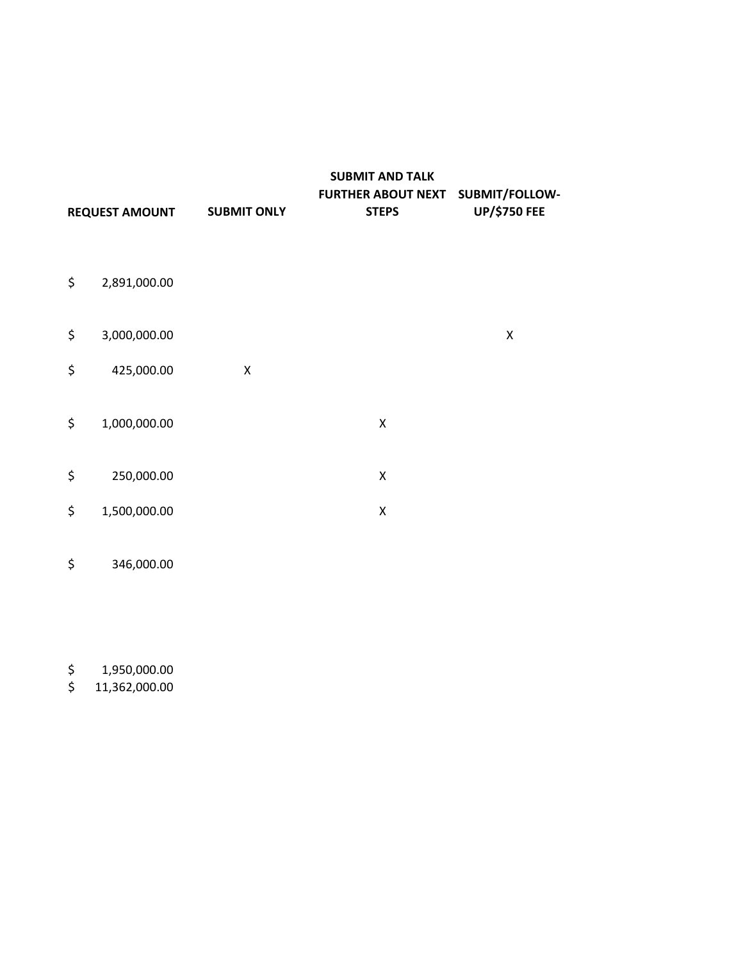|                       |                    | <b>SUBMIT AND TALK</b>                   |                     |
|-----------------------|--------------------|------------------------------------------|---------------------|
|                       |                    | <b>FURTHER ABOUT NEXT SUBMIT/FOLLOW-</b> |                     |
| <b>REQUEST AMOUNT</b> | <b>SUBMIT ONLY</b> | <b>STEPS</b>                             | <b>UP/\$750 FEE</b> |

- \$ 2,891,000.00
- $\sharp$  3,000,000.00 X
- \$ 425,000.00 X
- \$ 1,000,000.00 X
- \$ 250,000.00 X
- \$ 1,500,000.00 X
- \$ 346,000.00
- \$ 1,950,000.00
- \$ 11,362,000.00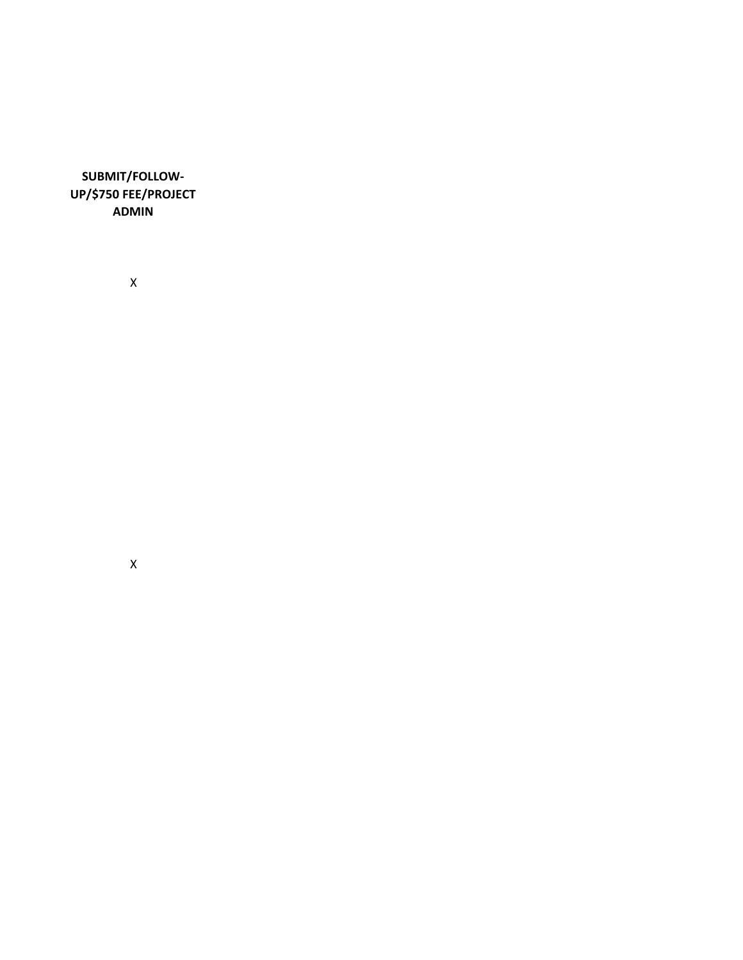**SUBMIT/FOLLOW-UP/\$750 FEE/PROJECT ADMIN**

X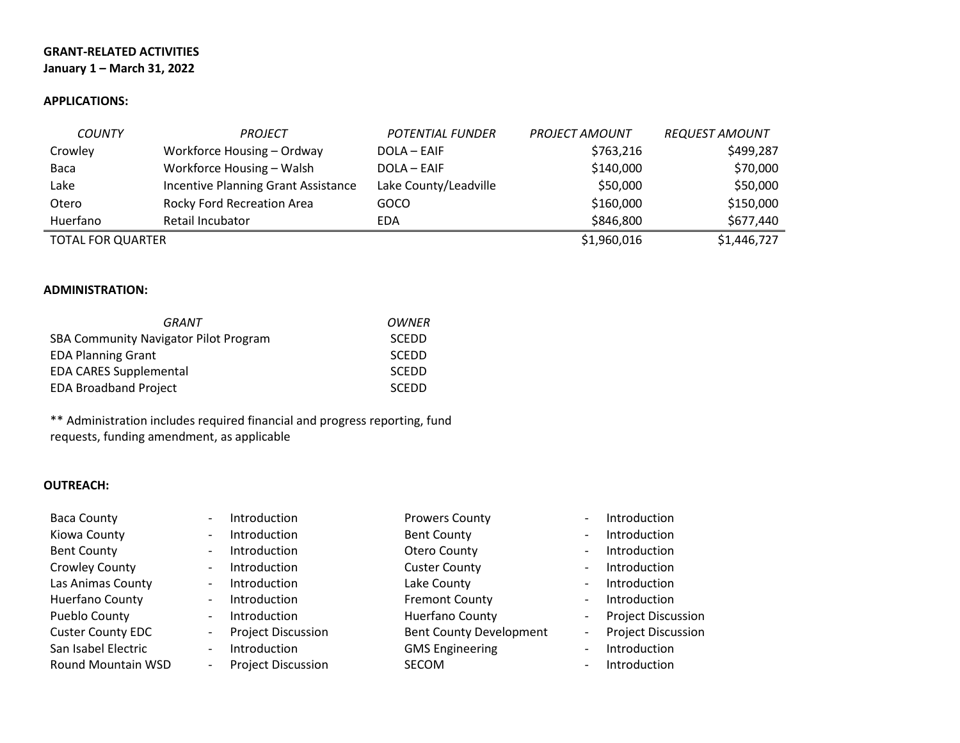### **GRANT-RELATED ACTIVITIES January 1 – March 31, 2022**

#### **APPLICATIONS:**

| <b>COUNTY</b>            | <b>PROJECT</b>                      | <b>POTENTIAL FUNDER</b> | <b>PROJECT AMOUNT</b> | <b>REQUEST AMOUNT</b> |
|--------------------------|-------------------------------------|-------------------------|-----------------------|-----------------------|
| Crowley                  | Workforce Housing - Ordway          | DOLA - EAIF             | \$763,216             | \$499,287             |
| Baca                     | Workforce Housing - Walsh           | DOLA - EAIF             | \$140,000             | \$70,000              |
| Lake                     | Incentive Planning Grant Assistance | Lake County/Leadville   | \$50,000              | \$50,000              |
| Otero                    | Rocky Ford Recreation Area          | GOCO                    | \$160,000             | \$150,000             |
| Huerfano                 | Retail Incubator                    | EDA                     | \$846,800             | \$677,440             |
| <b>TOTAL FOR QUARTER</b> |                                     |                         | \$1,960,016           | \$1,446,727           |

#### **ADMINISTRATION:**

| GRANT                                        | OWNER        |
|----------------------------------------------|--------------|
| <b>SBA Community Navigator Pilot Program</b> | <b>SCEDD</b> |
| <b>EDA Planning Grant</b>                    | <b>SCEDD</b> |
| <b>EDA CARES Supplemental</b>                | <b>SCEDD</b> |
| <b>EDA Broadband Project</b>                 | <b>SCEDD</b> |

\*\* Administration includes required financial and progress reporting, fund requests, funding amendment, as applicable

### **OUTREACH:**

| <b>Baca County</b>        | $\overline{\phantom{a}}$ | Introduction              | <b>Prowers County</b>          | $\overline{\phantom{0}}$ | Introduction              |
|---------------------------|--------------------------|---------------------------|--------------------------------|--------------------------|---------------------------|
| Kiowa County              | $\overline{\phantom{a}}$ | Introduction              | <b>Bent County</b>             | $\overline{\phantom{0}}$ | Introduction              |
| <b>Bent County</b>        | $\overline{\phantom{a}}$ | Introduction              | Otero County                   | $\overline{\phantom{0}}$ | Introduction              |
| <b>Crowley County</b>     | $\overline{\phantom{a}}$ | Introduction              | <b>Custer County</b>           | -                        | Introduction              |
| Las Animas County         | $\overline{\phantom{a}}$ | Introduction              | Lake County                    | $\overline{\phantom{a}}$ | Introduction              |
| Huerfano County           | $\overline{\phantom{a}}$ | Introduction              | <b>Fremont County</b>          | $\overline{\phantom{a}}$ | Introduction              |
| Pueblo County             | $\overline{\phantom{a}}$ | Introduction              | Huerfano County                | $\overline{\phantom{0}}$ | <b>Project Discussion</b> |
| <b>Custer County EDC</b>  | $\overline{\phantom{a}}$ | <b>Project Discussion</b> | <b>Bent County Development</b> | ۰.                       | <b>Project Discussion</b> |
| San Isabel Electric       | $\overline{\phantom{a}}$ | Introduction              | <b>GMS Engineering</b>         | -                        | Introduction              |
| <b>Round Mountain WSD</b> | $\overline{\phantom{a}}$ | <b>Project Discussion</b> | SECOM                          | -                        | Introduction              |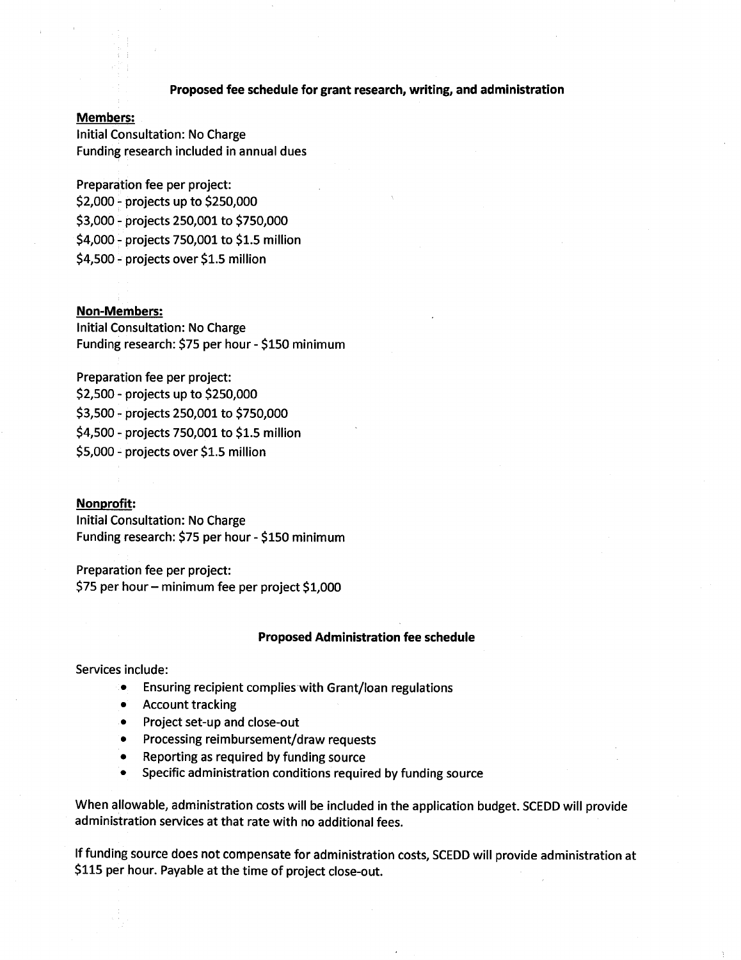#### Proposed fee schedule for grant research, writing, and administration

#### **Members:**

**Initial Consultation: No Charge** Funding research included in annual dues

Preparation fee per project: \$2,000 - projects up to \$250,000 \$3,000 - projects 250,001 to \$750,000 \$4,000 - projects 750,001 to \$1.5 million \$4,500 - projects over \$1.5 million

#### **Non-Members:**

Initial Consultation: No Charge Funding research: \$75 per hour - \$150 minimum

Preparation fee per project: \$2,500 - projects up to \$250,000 \$3,500 - projects 250,001 to \$750,000 \$4,500 - projects 750,001 to \$1.5 million \$5,000 - projects over \$1.5 million

#### Nonprofit:

**Initial Consultation: No Charge** Funding research: \$75 per hour - \$150 minimum

Preparation fee per project: \$75 per hour - minimum fee per project \$1,000

#### **Proposed Administration fee schedule**

Services include:

- Ensuring recipient complies with Grant/loan regulations  $\bullet$
- **Account tracking**
- Project set-up and close-out
- Processing reimbursement/draw requests
- Reporting as required by funding source
- Specific administration conditions required by funding source

When allowable, administration costs will be included in the application budget. SCEDD will provide administration services at that rate with no additional fees.

If funding source does not compensate for administration costs, SCEDD will provide administration at \$115 per hour. Payable at the time of project close-out.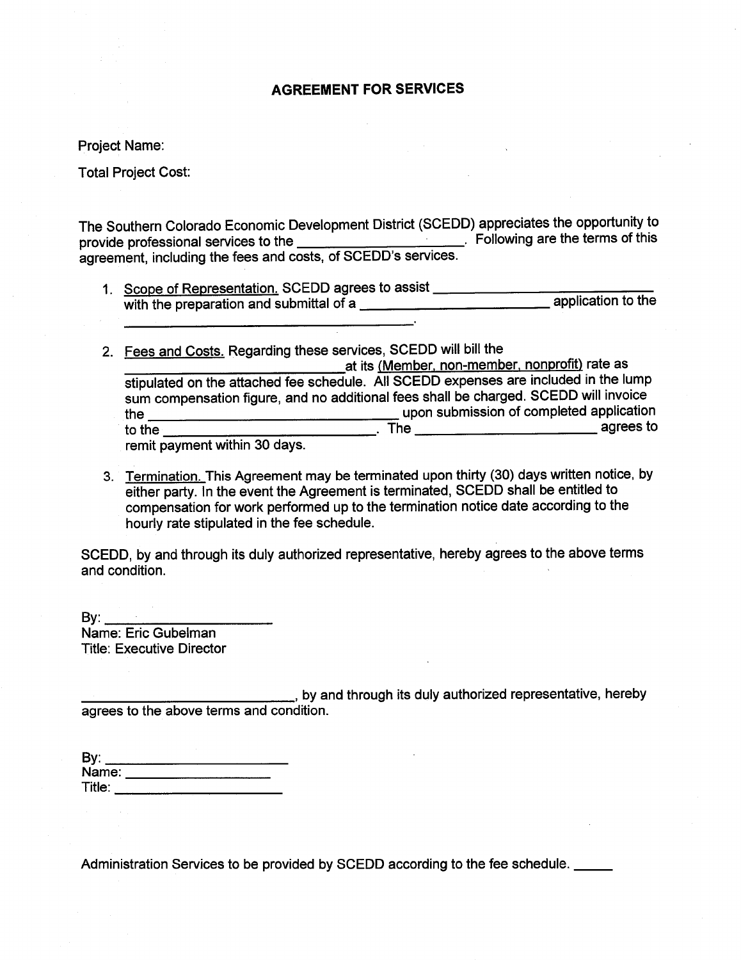### **AGREEMENT FOR SERVICES**

**Project Name:** 

**Total Project Cost:** 

The Southern Colorado Economic Development District (SCEDD) appreciates the opportunity to 

- 
- 2. Fees and Costs. Regarding these services, SCEDD will bill the at its (Member, non-member, nonprofit) rate as<br>stipulated on the attached fee schedule. All SCEDD expenses are included in the lump sum compensation figure, and no additional fees shall be charged. SCEDD will invoice the upon submission of completed application<br>to the agrees to

remit payment within 30 days.

3. Termination. This Agreement may be terminated upon thirty (30) days written notice, by either party. In the event the Agreement is terminated, SCEDD shall be entitled to compensation for work performed up to the termination notice date according to the hourly rate stipulated in the fee schedule.

SCEDD, by and through its duly authorized representative, hereby agrees to the above terms and condition.

Name: Eric Gubelman **Title: Executive Director** 

, by and through its duly authorized representative, hereby agrees to the above terms and condition.

| By:    |  |
|--------|--|
| Name:  |  |
| Title: |  |

Administration Services to be provided by SCEDD according to the fee schedule.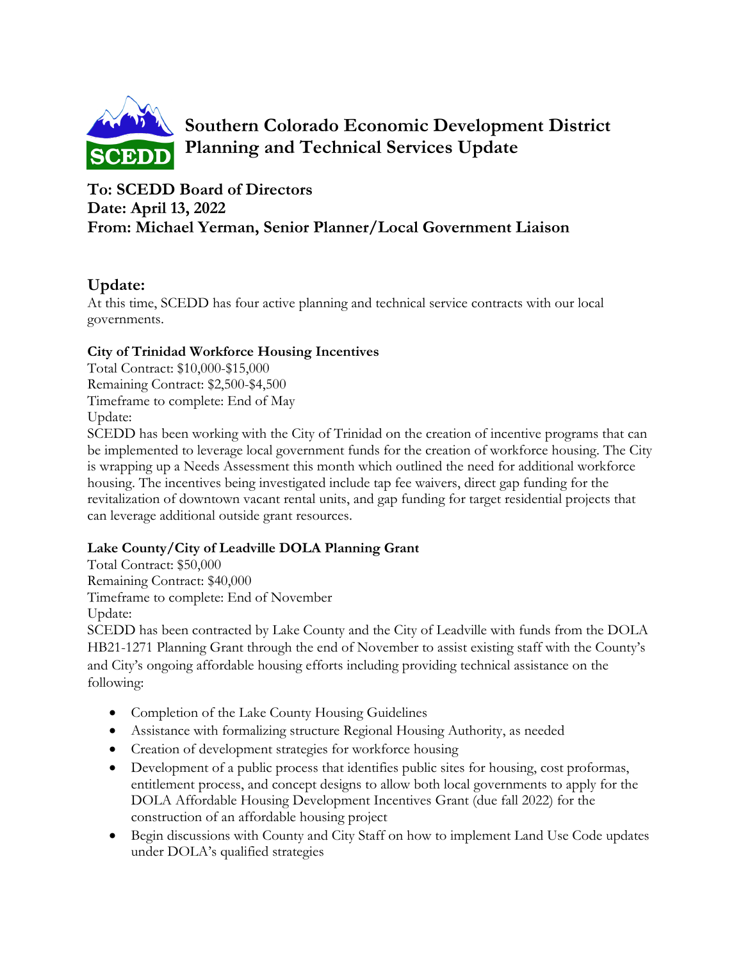

**Southern Colorado Economic Development District Planning and Technical Services Update**

# **To: SCEDD Board of Directors Date: April 13, 2022 From: Michael Yerman, Senior Planner/Local Government Liaison**

## **Update:**

At this time, SCEDD has four active planning and technical service contracts with our local governments.

### **City of Trinidad Workforce Housing Incentives**

Total Contract: \$10,000-\$15,000 Remaining Contract: \$2,500-\$4,500 Timeframe to complete: End of May Update:

SCEDD has been working with the City of Trinidad on the creation of incentive programs that can be implemented to leverage local government funds for the creation of workforce housing. The City is wrapping up a Needs Assessment this month which outlined the need for additional workforce housing. The incentives being investigated include tap fee waivers, direct gap funding for the revitalization of downtown vacant rental units, and gap funding for target residential projects that can leverage additional outside grant resources.

## **Lake County/City of Leadville DOLA Planning Grant**

Total Contract: \$50,000 Remaining Contract: \$40,000 Timeframe to complete: End of November Update:

SCEDD has been contracted by Lake County and the City of Leadville with funds from the DOLA HB21-1271 Planning Grant through the end of November to assist existing staff with the County's and City's ongoing affordable housing efforts including providing technical assistance on the following:

- Completion of the Lake County Housing Guidelines
- Assistance with formalizing structure Regional Housing Authority, as needed
- Creation of development strategies for workforce housing
- Development of a public process that identifies public sites for housing, cost proformas, entitlement process, and concept designs to allow both local governments to apply for the DOLA Affordable Housing Development Incentives Grant (due fall 2022) for the construction of an affordable housing project
- Begin discussions with County and City Staff on how to implement Land Use Code updates under DOLA's qualified strategies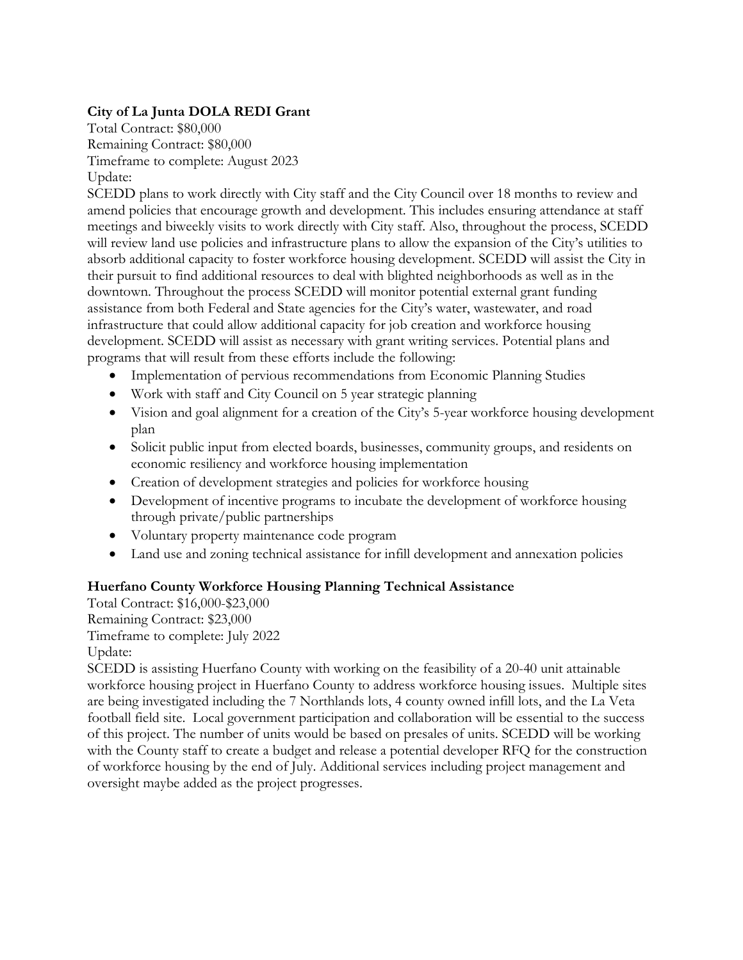### **City of La Junta DOLA REDI Grant**

Total Contract: \$80,000 Remaining Contract: \$80,000 Timeframe to complete: August 2023 Update:

SCEDD plans to work directly with City staff and the City Council over 18 months to review and amend policies that encourage growth and development. This includes ensuring attendance at staff meetings and biweekly visits to work directly with City staff. Also, throughout the process, SCEDD will review land use policies and infrastructure plans to allow the expansion of the City's utilities to absorb additional capacity to foster workforce housing development. SCEDD will assist the City in their pursuit to find additional resources to deal with blighted neighborhoods as well as in the downtown. Throughout the process SCEDD will monitor potential external grant funding assistance from both Federal and State agencies for the City's water, wastewater, and road infrastructure that could allow additional capacity for job creation and workforce housing development. SCEDD will assist as necessary with grant writing services. Potential plans and programs that will result from these efforts include the following:

- Implementation of pervious recommendations from Economic Planning Studies
- Work with staff and City Council on 5 year strategic planning
- Vision and goal alignment for a creation of the City's 5-year workforce housing development plan
- Solicit public input from elected boards, businesses, community groups, and residents on economic resiliency and workforce housing implementation
- Creation of development strategies and policies for workforce housing
- Development of incentive programs to incubate the development of workforce housing through private/public partnerships
- Voluntary property maintenance code program
- Land use and zoning technical assistance for infill development and annexation policies

### **Huerfano County Workforce Housing Planning Technical Assistance**

Total Contract: \$16,000-\$23,000 Remaining Contract: \$23,000 Timeframe to complete: July 2022 Update:

SCEDD is assisting Huerfano County with working on the feasibility of a 20-40 unit attainable workforce housing project in Huerfano County to address workforce housing issues. Multiple sites are being investigated including the 7 Northlands lots, 4 county owned infill lots, and the La Veta football field site. Local government participation and collaboration will be essential to the success of this project. The number of units would be based on presales of units. SCEDD will be working with the County staff to create a budget and release a potential developer RFQ for the construction of workforce housing by the end of July. Additional services including project management and oversight maybe added as the project progresses.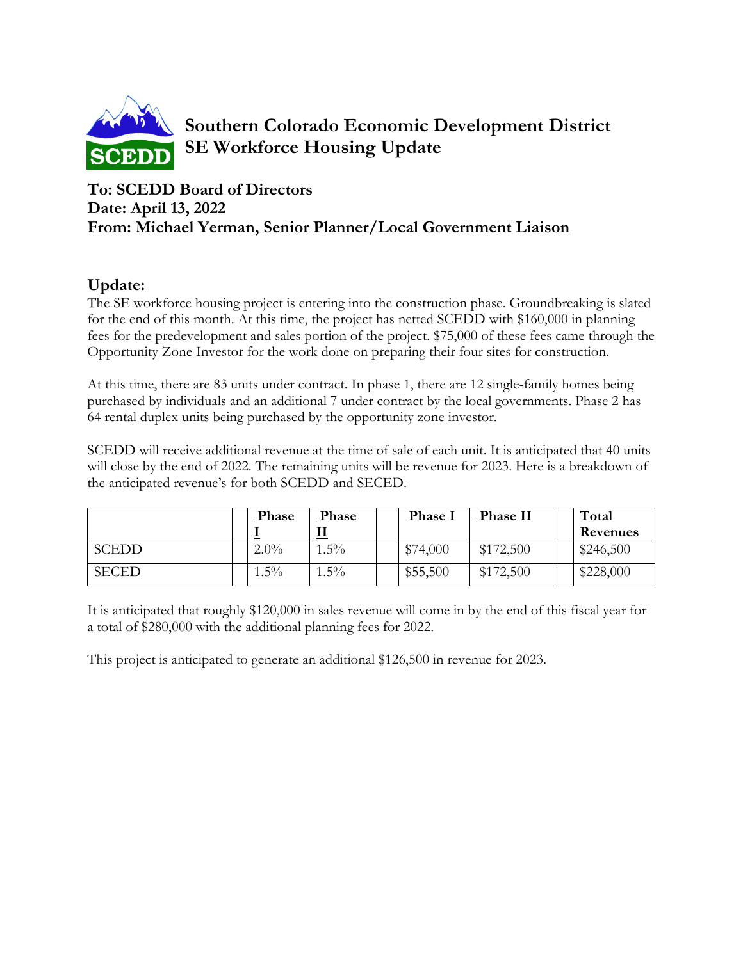

**Southern Colorado Economic Development District SE Workforce Housing Update**

# **To: SCEDD Board of Directors Date: April 13, 2022 From: Michael Yerman, Senior Planner/Local Government Liaison**

# **Update:**

The SE workforce housing project is entering into the construction phase. Groundbreaking is slated for the end of this month. At this time, the project has netted SCEDD with \$160,000 in planning fees for the predevelopment and sales portion of the project. \$75,000 of these fees came through the Opportunity Zone Investor for the work done on preparing their four sites for construction.

At this time, there are 83 units under contract. In phase 1, there are 12 single-family homes being purchased by individuals and an additional 7 under contract by the local governments. Phase 2 has 64 rental duplex units being purchased by the opportunity zone investor.

SCEDD will receive additional revenue at the time of sale of each unit. It is anticipated that 40 units will close by the end of 2022. The remaining units will be revenue for 2023. Here is a breakdown of the anticipated revenue's for both SCEDD and SECED.

|              |         | Phase | Phase     | <b>Phase I</b> | Phase II  | Total     |
|--------------|---------|-------|-----------|----------------|-----------|-----------|
|              |         |       | <u>іт</u> |                |           | Revenues  |
| <b>SCEDD</b> | $2.0\%$ |       | $.5\%$    | \$74,000       | \$172,500 | \$246,500 |
| <b>SECED</b> | $1.5\%$ |       | $.5\%$    | \$55,500       | \$172,500 | \$228,000 |

It is anticipated that roughly \$120,000 in sales revenue will come in by the end of this fiscal year for a total of \$280,000 with the additional planning fees for 2022.

This project is anticipated to generate an additional \$126,500 in revenue for 2023.